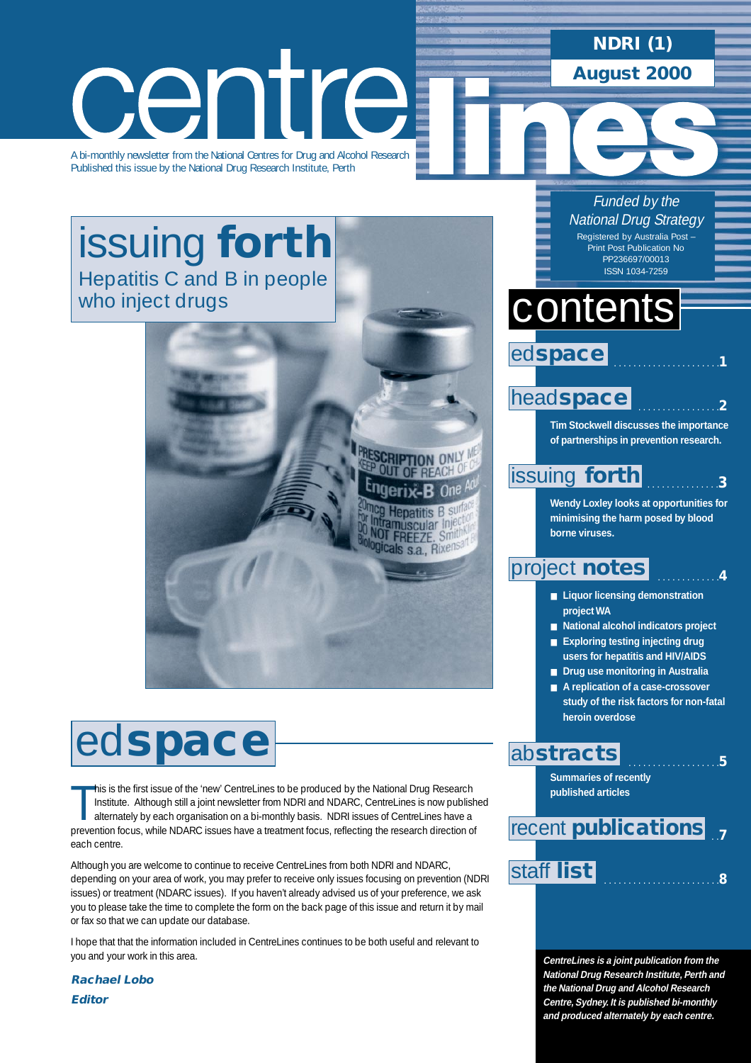### **NDRI (1) August 2000**

# centre

A bi-monthly newsletter from the National Centres for Drug and Alcohol Research Published this issue by the National Drug Research Institute, Perth

# [issuing](#page-2-0) **forth** Hepatitis C and B in people who inject drugs



This is the first issue of the 'new' CentreLines to be produced by the National Drug Research<br>Institute. Although still a joint newsletter from NDRI and NDARC, CentreLines is now published alternately by each organisation his is the first issue of the 'new' CentreLines to be produced by the National Drug Research Institute. Although still a joint newsletter from NDRI and NDARC, CentreLines is now published alternately by each organisation on a bi-monthly basis. NDRI issues of CentreLines have a each centre.

Although you are welcome to continue to receive CentreLines from both NDRI and NDARC, depending on your area of work, you may prefer to receive only issues focusing on prevention (NDRI issues) or treatment (NDARC issues). If you haven't already advised us of your preference, we ask you to please take the time to complete the form on the back page of this issue and return it by mail or fax so that we can update our database.

I hope that that the information included in CentreLines continues to be both useful and relevant to you and your work in this area.

**Rachael Lobo Editor**

### Funded by the **National Drug Strategy**

Registered by Australia Post – Print Post Publication No PP236697/00013 ISSN 1034-7259

# contents

 . . . . . . . . . . . . . . . . . . . . . .**1** ed**space**

### head**[space](#page-1-0)**

**CRIPTION ONLY** 

**Hepatitis B st** muscular Inje **OT FREEZE.** Smit gicals s.a., Rixen

**Tim Stockwell discusses the importance of partnerships in prevention research.**

. . . . . . . . . . . . . . . . .**2**

. . . . . . . . . . . . . . .**3**

. . . . . . . . . . . . .**4**

# [issuing](#page-2-0) **forth**

**Wendy Loxley looks at opportunities for minimising the harm posed by blood borne viruses.**

### [project](#page-3-0) **notes**

- **Liquor licensing demonstration project WA**
- **National alcohol indicators project**
- **Exploring testing injecting drug users for hepatitis and HIV/AIDS**
- **Drug use monitoring in Australia**
- **A replication of a case-crossover study of the risk factors for non-fatal heroin overdose**

. . . . . . . . . . . . . . . . . . .**5**

### ab**[stracts](#page-4-0)**

**Summaries of recently published articles**

### . .**7** [staff](#page-7-0) . . . . . . . . . . . . . . . . . . . . . . . .**<sup>8</sup> list** recent **[publications](#page-6-0)**

**CentreLines is a joint publication from the National Drug Research Institute, Perth and the National Drug and Alcohol Research Centre, Sydney. It is published bi-monthly and produced alternately by each centre.**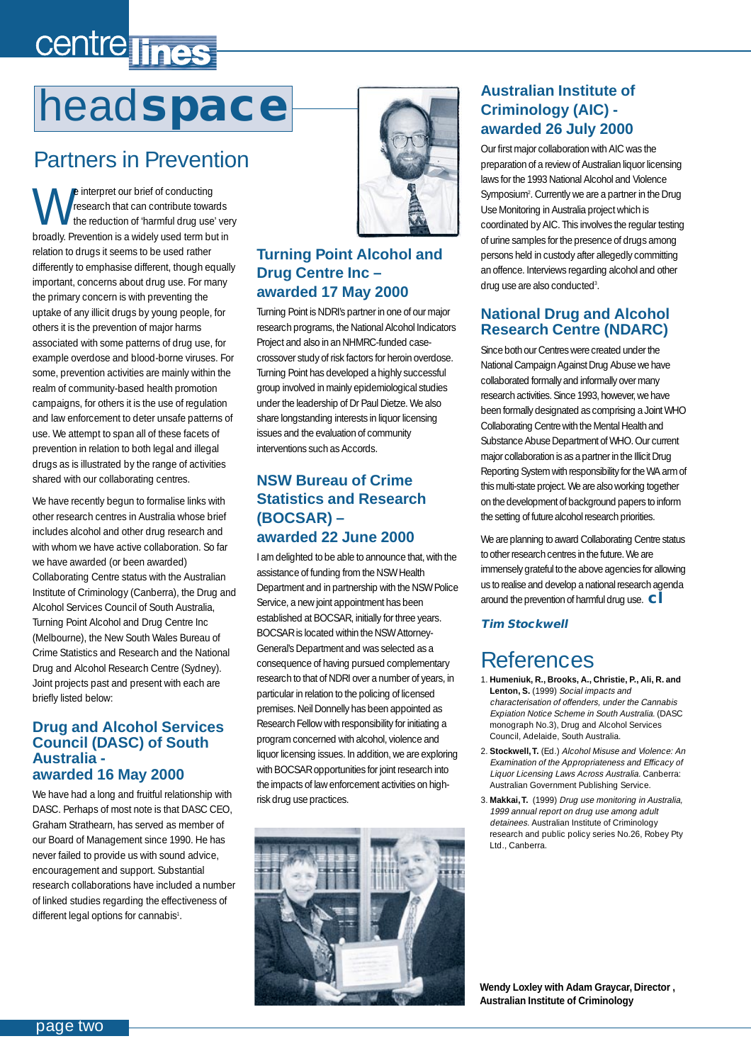# <span id="page-1-0"></span>centre lines

# head**space**

# Partners in Prevention

we interpret our brief of conducting<br>the reduction of 'harmful drug use' very<br>hard by Draugation is a videbuused term but in research that can contribute towards broadly. Prevention is a widely used term but in relation to drugs it seems to be used rather differently to emphasise different, though equally important, concerns about drug use. For many the primary concern is with preventing the uptake of any illicit drugs by young people, for others it is the prevention of major harms associated with some patterns of drug use, for example overdose and blood-borne viruses. For some, prevention activities are mainly within the realm of community-based health promotion campaigns, for others it is the use of regulation and law enforcement to deter unsafe patterns of use. We attempt to span all of these facets of prevention in relation to both legal and illegal drugs as is illustrated by the range of activities shared with our collaborating centres.

We have recently begun to formalise links with other research centres in Australia whose brief includes alcohol and other drug research and with whom we have active collaboration. So far we have awarded (or been awarded) Collaborating Centre status with the Australian Institute of Criminology (Canberra), the Drug and Alcohol Services Council of South Australia, Turning Point Alcohol and Drug Centre Inc (Melbourne), the New South Wales Bureau of Crime Statistics and Research and the National Drug and Alcohol Research Centre (Sydney). Joint projects past and present with each are briefly listed below:

#### **Drug and Alcohol Services Council (DASC) of South Australia awarded 16 May 2000**

We have had a long and fruitful relationship with DASC. Perhaps of most note is that DASC CEO, Graham Strathearn, has served as member of our Board of Management since 1990. He has never failed to provide us with sound advice, encouragement and support. Substantial research collaborations have included a number of linked studies regarding the effectiveness of different legal options for cannabis<sup>1</sup>.



#### **Turning Point Alcohol and Drug Centre Inc – awarded 17 May 2000**

Turning Point is NDRI's partner in one of our major research programs, the National Alcohol Indicators Project and also in an NHMRC-funded casecrossover study of risk factors for heroin overdose. Turning Point has developed a highly successful group involved in mainly epidemiological studies under the leadership of Dr Paul Dietze. We also share longstanding interests in liquor licensing issues and the evaluation of community interventions such as Accords.

#### **NSW Bureau of Crime Statistics and Research (BOCSAR) – awarded 22 June 2000**

I am delighted to be able to announce that, with the assistance of funding from the NSW Health Department and in partnership with the NSW Police Service, a new joint appointment has been established at BOCSAR, initially for three years. BOCSAR is located within the NSW Attorney-General's Department and was selected as a consequence of having pursued complementary research to that of NDRI over a number of years, in particular in relation to the policing of licensed premises. Neil Donnelly has been appointed as Research Fellow with responsibility for initiating a program concerned with alcohol, violence and liquor licensing issues. In addition, we are exploring with BOCSAR opportunities for joint research into the impacts of law enforcement activities on highrisk drug use practices.



#### **Australian Institute of Criminology (AIC) awarded 26 July 2000**

Our first major collaboration with AIC was the preparation of a review of Australian liquor licensing laws for the 1993 National Alcohol and Violence Symposium2 . Currently we are a partner in the Drug Use Monitoring in Australia project which is coordinated by AIC. This involves the regular testing of urine samples for the presence of drugs among persons held in custody after allegedly committing an offence. Interviews regarding alcohol and other drug use are also conducted<sup>3</sup>.

#### **National Drug and Alcohol Research Centre (NDARC)**

Since both our Centres were created under the National Campaign Against Drug Abuse we have collaborated formally and informally over many research activities. Since 1993, however, we have been formally designated as comprising a Joint WHO Collaborating Centre with the Mental Health and Substance Abuse Department of WHO. Our current major collaboration is as a partner in the Illicit Drug Reporting System with responsibility for the WA arm of this multi-state project. We are also working together on the development of background papers to inform the setting of future alcohol research priorities.

We are planning to award Collaborating Centre status to other research centres in the future. We are immensely grateful to the above agencies for allowing us to realise and develop a national research agenda around the prevention of harmful drug use. **cl**

#### **Tim Stockwell**

# References

- 1. **Humeniuk, R., Brooks, A., Christie, P., Ali, R. and** Lenton, S. (1999) Social impacts and characterisation of offenders, under the Cannabis Expiation Notice Scheme in South Australia. (DASC monograph No.3), Drug and Alcohol Services Council, Adelaide, South Australia.
- 2. **Stockwell,T.** (Ed.) Alcohol Misuse and Violence: An Examination of the Appropriateness and Efficacy of Liquor Licensing Laws Across Australia. Canberra: Australian Government Publishing Service.
- 3. **Makkai,T.** (1999) Drug use monitoring in Australia, 1999 annual report on drug use among adult detainees. Australian Institute of Criminology research and public policy series No.26, Robey Pty Ltd., Canberra.

**Wendy Loxley with Adam Graycar, Director , Australian Institute of Criminology**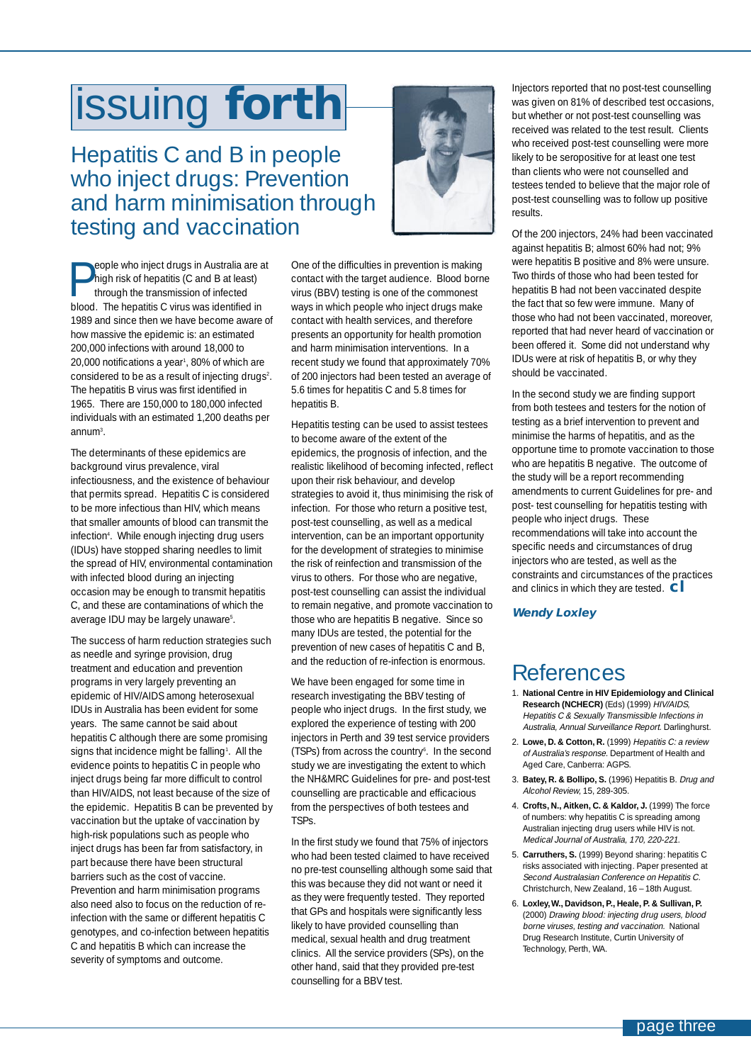# <span id="page-2-0"></span>issuing **forth**

Hepatitis C and B in people who inject drugs: Prevention and harm minimisation through testing and vaccination



**People who inject drugs in Australia are at**<br>high risk of hepatitis (C and B at least)<br>through the transmission of infected<br>blood. The benefitie C virus was identified in high risk of hepatitis (C and B at least) through the transmission of infected blood. The hepatitis C virus was identified in 1989 and since then we have become aware of how massive the epidemic is: an estimated 200,000 infections with around 18,000 to 20,000 notifications a year<sup>1</sup>, 80% of which are considered to be as a result of injecting drugs<sup>2</sup>. The hepatitis B virus was first identified in 1965. There are 150,000 to 180,000 infected individuals with an estimated 1,200 deaths per annum<sup>3</sup>.

The determinants of these epidemics are background virus prevalence, viral infectiousness, and the existence of behaviour that permits spread. Hepatitis C is considered to be more infectious than HIV, which means that smaller amounts of blood can transmit the infection4 . While enough injecting drug users (IDUs) have stopped sharing needles to limit the spread of HIV, environmental contamination with infected blood during an injecting occasion may be enough to transmit hepatitis C, and these are contaminations of which the average IDU may be largely unaware<sup>5</sup>.

The success of harm reduction strategies such as needle and syringe provision, drug treatment and education and prevention programs in very largely preventing an epidemic of HIV/AIDS among heterosexual IDUs in Australia has been evident for some years. The same cannot be said about hepatitis C although there are some promising signs that incidence might be falling<sup>1</sup>. All the evidence points to hepatitis C in people who inject drugs being far more difficult to control than HIV/AIDS, not least because of the size of the epidemic. Hepatitis B can be prevented by vaccination but the uptake of vaccination by high-risk populations such as people who inject drugs has been far from satisfactory, in part because there have been structural barriers such as the cost of vaccine. Prevention and harm minimisation programs also need also to focus on the reduction of reinfection with the same or different hepatitis C genotypes, and co-infection between hepatitis C and hepatitis B which can increase the severity of symptoms and outcome.

One of the difficulties in prevention is making contact with the target audience. Blood borne virus (BBV) testing is one of the commonest ways in which people who inject drugs make contact with health services, and therefore presents an opportunity for health promotion and harm minimisation interventions. In a recent study we found that approximately 70% of 200 injectors had been tested an average of 5.6 times for hepatitis C and 5.8 times for hepatitis B.

Hepatitis testing can be used to assist testees to become aware of the extent of the epidemics, the prognosis of infection, and the realistic likelihood of becoming infected, reflect upon their risk behaviour, and develop strategies to avoid it, thus minimising the risk of infection. For those who return a positive test, post-test counselling, as well as a medical intervention, can be an important opportunity for the development of strategies to minimise the risk of reinfection and transmission of the virus to others. For those who are negative, post-test counselling can assist the individual to remain negative, and promote vaccination to those who are hepatitis B negative. Since so many IDUs are tested, the potential for the prevention of new cases of hepatitis C and B, and the reduction of re-infection is enormous.

We have been engaged for some time in research investigating the BBV testing of people who inject drugs. In the first study, we explored the experience of testing with 200 injectors in Perth and 39 test service providers (TSPs) from across the country6 . In the second study we are investigating the extent to which the NH&MRC Guidelines for pre- and post-test counselling are practicable and efficacious from the perspectives of both testees and TSPs.

In the first study we found that 75% of injectors who had been tested claimed to have received no pre-test counselling although some said that this was because they did not want or need it as they were frequently tested. They reported that GPs and hospitals were significantly less likely to have provided counselling than medical, sexual health and drug treatment clinics. All the service providers (SPs), on the other hand, said that they provided pre-test counselling for a BBV test.

Injectors reported that no post-test counselling was given on 81% of described test occasions, but whether or not post-test counselling was received was related to the test result. Clients who received post-test counselling were more likely to be seropositive for at least one test than clients who were not counselled and testees tended to believe that the major role of post-test counselling was to follow up positive results.

Of the 200 injectors, 24% had been vaccinated against hepatitis B; almost 60% had not; 9% were hepatitis B positive and 8% were unsure. Two thirds of those who had been tested for hepatitis B had not been vaccinated despite the fact that so few were immune. Many of those who had not been vaccinated, moreover, reported that had never heard of vaccination or been offered it. Some did not understand why IDUs were at risk of hepatitis B, or why they should be vaccinated.

In the second study we are finding support from both testees and testers for the notion of testing as a brief intervention to prevent and minimise the harms of hepatitis, and as the opportune time to promote vaccination to those who are hepatitis B negative. The outcome of the study will be a report recommending amendments to current Guidelines for pre- and post- test counselling for hepatitis testing with people who inject drugs. These recommendations will take into account the specific needs and circumstances of drug injectors who are tested, as well as the constraints and circumstances of the practices and clinics in which they are tested. **cl**

#### **Wendy Loxley**

### References

- 1. **National Centre in HIV Epidemiology and Clinical Research (NCHECR)** (Eds) (1999) HIV/AIDS, Hepatitis C & Sexually Transmissible Infections in Australia, Annual Surveillance Report. Darlinghurst.
- 2. **Lowe, D. & Cotton, R.** (1999) Hepatitis C: a review of Australia's response. Department of Health and Aged Care, Canberra: AGPS.
- 3. **Batey, R. & Bollipo, S.** (1996) Hepatitis B. Drug and Alcohol Review, 15, 289-305.
- 4. **Crofts, N., Aitken, C. & Kaldor, J.** (1999) The force of numbers: why hepatitis C is spreading among Australian injecting drug users while HIV is not. Medical Journal of Australia, 170, 220-221.
- 5. **Carruthers, S.** (1999) Beyond sharing: hepatitis C risks associated with injecting. Paper presented at Second Australasian Conference on Hepatitis C. Christchurch, New Zealand, 16 – 18th August.
- 6. **Loxley,W., Davidson, P., Heale, P. & Sullivan, P.** (2000) Drawing blood: injecting drug users, blood borne viruses, testing and vaccination. National Drug Research Institute, Curtin University of Technology, Perth, WA.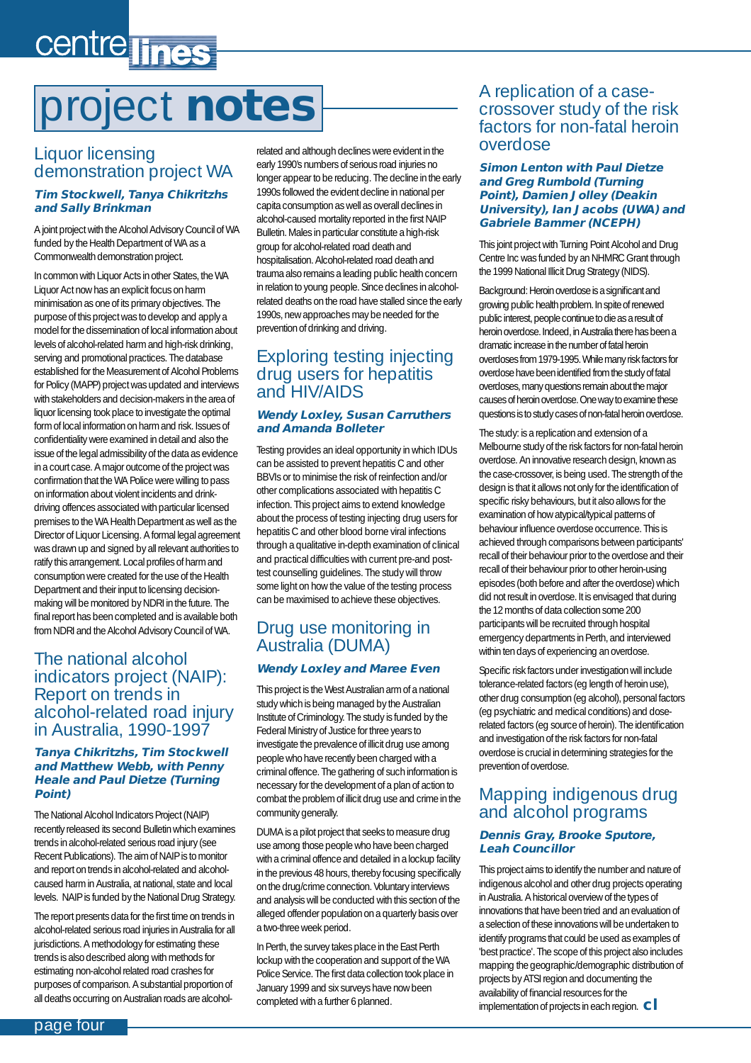# <span id="page-3-0"></span>centre lines

# project **notes**

#### Liquor licensing demonstration project WA

#### **Tim Stockwell, Tanya Chikritzhs and Sally Brinkman**

A joint project with the Alcohol Advisory Council of WA funded by the Health Department of WA as a Commonwealth demonstration project.

In common with Liquor Acts in other States, the WA Liquor Act now has an explicit focus on harm minimisation as one of its primary objectives. The purpose of this project was to develop and apply a model for the dissemination of local information about levels of alcohol-related harm and high-risk drinking, serving and promotional practices. The database established for the Measurement of Alcohol Problems for Policy (MAPP) project was updated and interviews with stakeholders and decision-makers in the area of liquor licensing took place to investigate the optimal form of local information on harm and risk. Issues of confidentiality were examined in detail and also the issue of the legal admissibility of the data as evidence in a court case. A major outcome of the project was confirmation that the WA Police were willing to pass on information about violent incidents and drinkdriving offences associated with particular licensed premises to the WA Health Department as well as the Director of Liquor Licensing. A formal legal agreement was drawn up and signed by all relevant authorities to ratify this arrangement. Local profiles of harm and consumption were created for the use of the Health Department and their input to licensing decisionmaking will be monitored by NDRI in the future. The final report has been completed and is available both from NDRI and the Alcohol Advisory Council of WA.

#### The national alcohol indicators project (NAIP): Report on trends in alcohol-related road injury in Australia, 1990-1997

#### **Tanya Chikritzhs, Tim Stockwell and Matthew Webb, with Penny Heale and Paul Dietze (Turning Point)**

The National Alcohol Indicators Project (NAIP) recently released its second Bulletin which examines trends in alcohol-related serious road injury (see Recent Publications). The aim of NAIP is to monitor and report on trends in alcohol-related and alcoholcaused harm in Australia, at national, state and local levels. NAIP is funded by the National Drug Strategy.

The report presents data for the first time on trends in alcohol-related serious road injuries in Australia for all jurisdictions. A methodology for estimating these trends is also described along with methods for estimating non-alcohol related road crashes for purposes of comparison. A substantial proportion of all deaths occurring on Australian roads are alcoholrelated and although declines were evident in the early 1990's numbers of serious road injuries no longer appear to be reducing. The decline in the early 1990s followed the evident decline in national per capita consumption as well as overall declines in alcohol-caused mortality reported in the first NAIP Bulletin. Males in particular constitute a high-risk group for alcohol-related road death and hospitalisation. Alcohol-related road death and trauma also remains a leading public health concern in relation to young people. Since declines in alcoholrelated deaths on the road have stalled since the early 1990s, new approaches may be needed for the prevention of drinking and driving.

#### Exploring testing injecting drug users for hepatitis and HIV/AIDS

#### **Wendy Loxley, Susan Carruthers and Amanda Bolleter**

Testing provides an ideal opportunity in which IDUs can be assisted to prevent hepatitis C and other BBVIs or to minimise the risk of reinfection and/or other complications associated with hepatitis C infection. This project aims to extend knowledge about the process of testing injecting drug users for hepatitis C and other blood borne viral infections through a qualitative in-depth examination of clinical and practical difficulties with current pre-and posttest counselling guidelines. The study will throw some light on how the value of the testing process can be maximised to achieve these objectives.

### Drug use monitoring in Australia (DUMA)

#### **Wendy Loxley and Maree Even**

This project is the West Australian arm of a national study which is being managed by the Australian Institute of Criminology. The study is funded by the Federal Ministry of Justice for three years to investigate the prevalence of illicit drug use among people who have recently been charged with a criminal offence. The gathering of such information is necessary for the development of a plan of action to combat the problem of illicit drug use and crime in the community generally.

DUMA is a pilot project that seeks to measure drug use among those people who have been charged with a criminal offence and detailed in a lockup facility in the previous 48 hours, thereby focusing specifically on the drug/crime connection. Voluntary interviews and analysis will be conducted with this section of the alleged offender population on a quarterly basis over a two-three week period.

In Perth, the survey takes place in the East Perth lockup with the cooperation and support of the WA Police Service. The first data collection took place in January 1999 and six surveys have now been completed with a further 6 planned.

#### A replication of a casecrossover study of the risk factors for non-fatal heroin overdose

#### **Simon Lenton with Paul Dietze and Greg Rumbold (Turning Point), Damien Jolley (Deakin University), Ian Jacobs (UWA) and Gabriele Bammer (NCEPH)**

This joint project with Turning Point Alcohol and Drug Centre Inc was funded by an NHMRC Grant through the 1999 National Illicit Drug Strategy (NIDS).

Background: Heroin overdose is a significant and growing public health problem. In spite of renewed public interest, people continue to die as a result of heroin overdose. Indeed, in Australia there has been a dramatic increase in the number of fatal heroin overdoses from 1979-1995. While many risk factors for overdose have been identified from the study of fatal overdoses, many questions remain about the major causes of heroin overdose. One way to examine these questions is to study cases of non-fatal heroin overdose.

The study: is a replication and extension of a Melbourne study of the risk factors for non-fatal heroin overdose. An innovative research design, known as the case-crossover, is being used. The strength of the design is that it allows not only for the identification of specific risky behaviours, but it also allows for the examination of how atypical/typical patterns of behaviour influence overdose occurrence. This is achieved through comparisons between participants' recall of their behaviour prior to the overdose and their recall of their behaviour prior to other heroin-using episodes (both before and after the overdose) which did not result in overdose. It is envisaged that during the 12 months of data collection some 200 participants will be recruited through hospital emergency departments in Perth, and interviewed within ten days of experiencing an overdose.

Specific risk factors under investigation will include tolerance-related factors (eg length of heroin use), other drug consumption (eg alcohol), personal factors (eg psychiatric and medical conditions) and doserelated factors (eg source of heroin). The identification and investigation of the risk factors for non-fatal overdose is crucial in determining strategies for the prevention of overdose.

#### Mapping indigenous drug and alcohol programs

#### **Dennis Gray, Brooke Sputore, Leah Councillor**

This project aims to identify the number and nature of indigenous alcohol and other drug projects operating in Australia. A historical overview of the types of innovations that have been tried and an evaluation of a selection of these innovations will be undertaken to identify programs that could be used as examples of 'best practice'. The scope of this project also includes mapping the geographic/demographic distribution of projects by ATSI region and documenting the availability of financial resources for the implementation of projects in each region. **cl**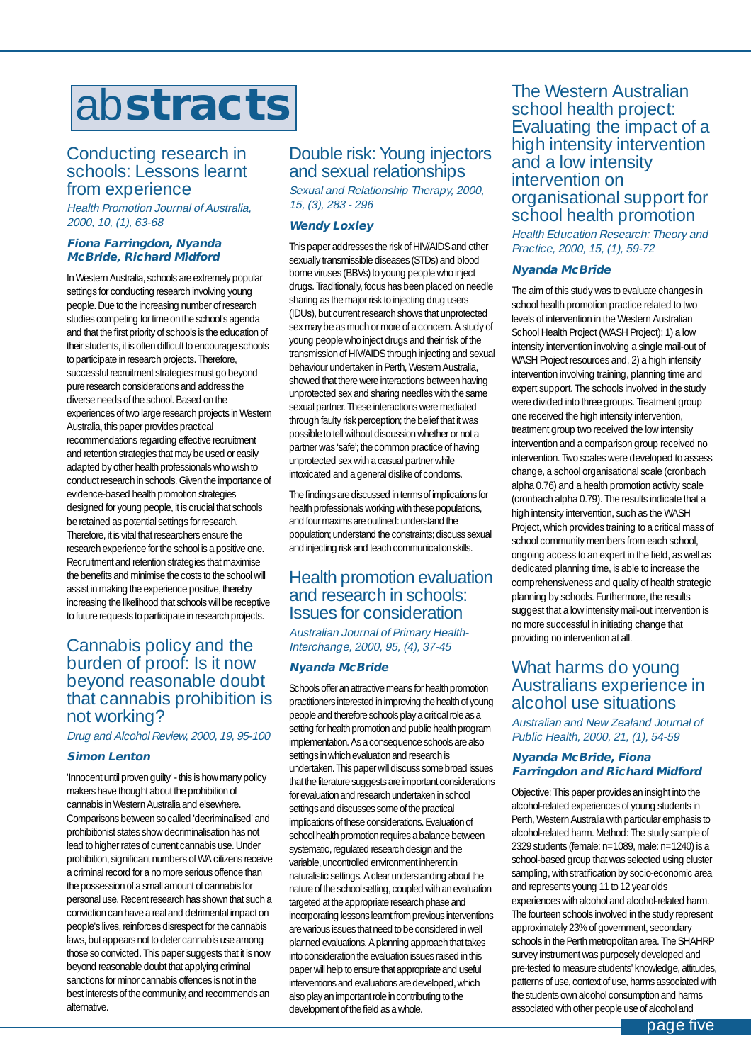# <span id="page-4-0"></span>ab**stracts**

#### Conducting research in schools: Lessons learnt from experience

Health Promotion Journal of Australia, 2000, 10, (1), 63-68

#### **Fiona Farringdon, Nyanda McBride, Richard Midford**

In Western Australia, schools are extremely popular settings for conducting research involving young people. Due to the increasing number of research studies competing for time on the school's agenda and that the first priority of schools is the education of their students, it is often difficult to encourage schools to participate in research projects. Therefore, successful recruitment strategies must go beyond pure research considerations and address the diverse needs of the school. Based on the experiences of two large research projects in Western Australia, this paper provides practical recommendations regarding effective recruitment and retention strategies that may be used or easily adapted by other health professionals who wish to conduct research in schools. Given the importance of evidence-based health promotion strategies designed for young people, it is crucial that schools be retained as potential settings for research. Therefore, it is vital that researchers ensure the research experience for the school is a positive one. Recruitment and retention strategies that maximise the benefits and minimise the costs to the school will assist in making the experience positive, thereby increasing the likelihood that schools will be receptive to future requests to participate in research projects.

#### Cannabis policy and the burden of proof: Is it now beyond reasonable doubt that cannabis prohibition is not working?

Drug and Alcohol Review, 2000, 19, 95-100

#### **Simon Lenton**

'Innocent until proven guilty' - this is how many policy makers have thought about the prohibition of cannabis in Western Australia and elsewhere. Comparisons between so called 'decriminalised' and prohibitionist states show decriminalisation has not lead to higher rates of current cannabis use. Under prohibition, significant numbers of WA citizens receive a criminal record for a no more serious offence than the possession of a small amount of cannabis for personal use. Recent research has shown that such a conviction can have a real and detrimental impact on people's lives, reinforces disrespect for the cannabis laws, but appears not to deter cannabis use among those so convicted. This paper suggests that it is now beyond reasonable doubt that applying criminal sanctions for minor cannabis offences is not in the best interests of the community, and recommends an alternative.

#### Double risk: Young injectors and sexual relationships

Sexual and Relationship Therapy, 2000, 15, (3), 283 - 296

#### **Wendy Loxley**

This paper addresses the risk of HIV/AIDS and other sexually transmissible diseases (STDs) and blood borne viruses (BBVs) to young people who inject drugs. Traditionally, focus has been placed on needle sharing as the major risk to injecting drug users (IDUs), but current research shows that unprotected sex may be as much or more of a concern. A study of young people who inject drugs and their risk of the transmission of HIV/AIDS through injecting and sexual behaviour undertaken in Perth, Western Australia, showed that there were interactions between having unprotected sex and sharing needles with the same sexual partner. These interactions were mediated through faulty risk perception; the belief that it was possible to tell without discussion whether or not a partner was 'safe'; the common practice of having unprotected sex with a casual partner while intoxicated and a general dislike of condoms.

The findings are discussed in terms of implications for health professionals working with these populations, and four maxims are outlined: understand the population; understand the constraints; discuss sexual and injecting risk and teach communication skills.

#### Health promotion evaluation and research in schools: Issues for consideration

Australian Journal of Primary Health-Interchange, 2000, 95, (4), 37-45

#### **Nyanda McBride**

Schools offer an attractive means for health promotion practitioners interested in improving the health of young people and therefore schools play a critical role as a setting for health promotion and public health program implementation. As a consequence schools are also settings in which evaluation and research is undertaken. This paper will discuss some broad issues that the literature suggests are important considerations for evaluation and research undertaken in school settings and discusses some of the practical implications of these considerations. Evaluation of school health promotion requires a balance between systematic, regulated research design and the variable, uncontrolled environment inherent in naturalistic settings. A clear understanding about the nature of the school setting, coupled with an evaluation targeted at the appropriate research phase and incorporating lessons learnt from previous interventions are various issues that need to be considered in well planned evaluations. A planning approach that takes into consideration the evaluation issues raised in this paper will help to ensure that appropriate and useful interventions and evaluations are developed, which also play an important role in contributing to the development of the field as a whole.

The Western Australian school health project: Evaluating the impact of a high intensity intervention and a low intensity intervention on organisational support for school health promotion

Health Education Research: Theory and Practice, 2000, 15, (1), 59-72

#### **Nyanda McBride**

The aim of this study was to evaluate changes in school health promotion practice related to two levels of intervention in the Western Australian School Health Project (WASH Project): 1) a low intensity intervention involving a single mail-out of WASH Project resources and, 2) a high intensity intervention involving training, planning time and expert support. The schools involved in the study were divided into three groups. Treatment group one received the high intensity intervention, treatment group two received the low intensity intervention and a comparison group received no intervention. Two scales were developed to assess change, a school organisational scale (cronbach alpha 0.76) and a health promotion activity scale (cronbach alpha 0.79). The results indicate that a high intensity intervention, such as the WASH Project, which provides training to a critical mass of school community members from each school, ongoing access to an expert in the field, as well as dedicated planning time, is able to increase the comprehensiveness and quality of health strategic planning by schools. Furthermore, the results suggest that a low intensity mail-out intervention is no more successful in initiating change that providing no intervention at all.

#### What harms do young Australians experience in alcohol use situations

Australian and New Zealand Journal of Public Health, 2000, 21, (1), 54-59

#### **Nyanda McBride, Fiona Farringdon and Richard Midford**

Objective: This paper provides an insight into the alcohol-related experiences of young students in Perth, Western Australia with particular emphasis to alcohol-related harm. Method: The study sample of 2329 students (female: n=1089, male: n=1240) is a school-based group that was selected using cluster sampling, with stratification by socio-economic area and represents young 11 to 12 year olds experiences with alcohol and alcohol-related harm. The fourteen schools involved in the study represent approximately 23% of government, secondary schools in the Perth metropolitan area. The SHAHRP survey instrument was purposely developed and pre-tested to measure students' knowledge, attitudes, patterns of use, context of use, harms associated with the students own alcohol consumption and harms associated with other people use of alcohol and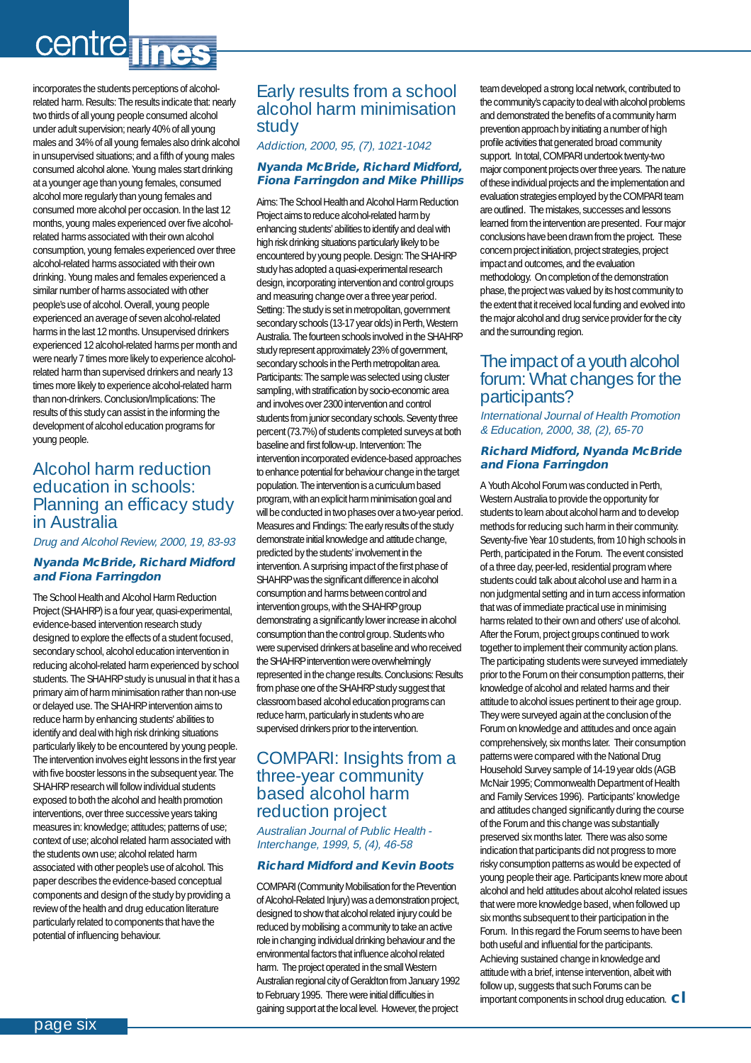# centre lines

incorporates the students perceptions of alcoholrelated harm. Results: The results indicate that: nearly two thirds of all young people consumed alcohol under adult supervision; nearly 40% of all young males and 34% of all young females also drink alcohol in unsupervised situations; and a fifth of young males consumed alcohol alone. Young males start drinking at a younger age than young females, consumed alcohol more regularly than young females and consumed more alcohol per occasion. In the last 12 months, young males experienced over five alcoholrelated harms associated with their own alcohol consumption, young females experienced over three alcohol-related harms associated with their own drinking. Young males and females experienced a similar number of harms associated with other people's use of alcohol. Overall, young people experienced an average of seven alcohol-related harms in the last 12 months. Unsupervised drinkers experienced 12 alcohol-related harms per month and were nearly 7 times more likely to experience alcoholrelated harm than supervised drinkers and nearly 13 times more likely to experience alcohol-related harm than non-drinkers. Conclusion/Implications: The results of this study can assist in the informing the development of alcohol education programs for young people.

#### Alcohol harm reduction education in schools: Planning an efficacy study in Australia

Drug and Alcohol Review, 2000, 19, 83-93

#### **Nyanda McBride, Richard Midford and Fiona Farringdon**

The School Health and Alcohol Harm Reduction Project (SHAHRP) is a four year, quasi-experimental, evidence-based intervention research study designed to explore the effects of a student focused, secondary school, alcohol education intervention in reducing alcohol-related harm experienced by school students. The SHAHRP study is unusual in that it has a primary aim of harm minimisation rather than non-use or delayed use. The SHAHRP intervention aims to reduce harm by enhancing students' abilities to identify and deal with high risk drinking situations particularly likely to be encountered by young people. The intervention involves eight lessons in the first year with five booster lessons in the subsequent year. The SHAHRP research will follow individual students exposed to both the alcohol and health promotion interventions, over three successive years taking measures in: knowledge; attitudes; patterns of use; context of use; alcohol related harm associated with the students own use; alcohol related harm associated with other people's use of alcohol. This paper describes the evidence-based conceptual components and design of the study by providing a review of the health and drug education literature particularly related to components that have the potential of influencing behaviour.

#### Early results from a school alcohol harm minimisation study

Addiction, 2000, 95, (7), 1021-1042

#### **Nyanda McBride, Richard Midford, Fiona Farringdon and Mike Phillips**

Aims: The School Health and Alcohol Harm Reduction Project aims to reduce alcohol-related harm by enhancing students' abilities to identify and deal with high risk drinking situations particularly likely to be encountered by young people. Design: The SHAHRP study has adopted a quasi-experimental research design, incorporating intervention and control groups and measuring change over a three year period. Setting: The study is set in metropolitan, government secondary schools (13-17 year olds) in Perth, Western Australia. The fourteen schools involved in the SHAHRP study represent approximately 23% of government, secondary schools in the Perth metropolitan area. Participants: The sample was selected using cluster sampling, with stratification by socio-economic area and involves over 2300 intervention and control students from junior secondary schools. Seventy three percent (73.7%) of students completed surveys at both baseline and first follow-up. Intervention: The intervention incorporated evidence-based approaches to enhance potential for behaviour change in the target population. The intervention is a curriculum based program, with an explicit harm minimisation goal and will be conducted in two phases over a two-year period. Measures and Findings: The early results of the study demonstrate initial knowledge and attitude change, predicted by the students' involvement in the intervention. A surprising impact of the first phase of SHAHRP was the significant difference in alcohol consumption and harms between control and intervention groups, with the SHAHRP group demonstrating a significantly lower increase in alcohol consumption than the control group. Students who were supervised drinkers at baseline and who received the SHAHRP intervention were overwhelmingly represented in the change results. Conclusions: Results from phase one of the SHAHRP study suggest that classroom based alcohol education programs can reduce harm, particularly in students who are supervised drinkers prior to the intervention.

#### COMPARI: Insights from a three-year community based alcohol harm reduction project

Australian Journal of Public Health - Interchange, 1999, 5, (4), 46-58

#### **Richard Midford and Kevin Boots**

COMPARI (Community Mobilisation for the Prevention of Alcohol-Related Injury) was a demonstration project, designed to show that alcohol related injury could be reduced by mobilising a community to take an active role in changing individual drinking behaviour and the environmental factors that influence alcohol related harm. The project operated in the small Western Australian regional city of Geraldton from January 1992 to February 1995. There were initial difficulties in gaining support at the local level. However, the project team developed a strong local network, contributed to the community's capacity to deal with alcohol problems and demonstrated the benefits of a community harm prevention approach by initiating a number of high profile activities that generated broad community support. In total, COMPARI undertook twenty-two major component projects over three years. The nature of these individual projects and the implementation and evaluation strategies employed by the COMPARI team are outlined. The mistakes, successes and lessons learned from the intervention are presented. Four major conclusions have been drawn from the project. These concern project initiation, project strategies, project impact and outcomes, and the evaluation methodology. On completion of the demonstration phase, the project was valued by its host community to the extent that it received local funding and evolved into the major alcohol and drug service provider for the city and the surrounding region.

#### The impact of a youth alcohol forum: What changes for the participants?

International Journal of Health Promotion & Education, 2000, 38, (2), 65-70

#### **Richard Midford, Nyanda McBride and Fiona Farringdon**

A Youth Alcohol Forum was conducted in Perth, Western Australia to provide the opportunity for students to learn about alcohol harm and to develop methods for reducing such harm in their community. Seventy-five Year 10 students, from 10 high schools in Perth, participated in the Forum. The event consisted of a three day, peer-led, residential program where students could talk about alcohol use and harm in a non judgmental setting and in turn access information that was of immediate practical use in minimising harms related to their own and others' use of alcohol. After the Forum, project groups continued to work together to implement their community action plans. The participating students were surveyed immediately prior to the Forum on their consumption patterns, their knowledge of alcohol and related harms and their attitude to alcohol issues pertinent to their age group. They were surveyed again at the conclusion of the Forum on knowledge and attitudes and once again comprehensively, six months later. Their consumption patterns were compared with the National Drug Household Survey sample of 14-19 year olds (AGB McNair 1995; Commonwealth Department of Health and Family Services 1996). Participants' knowledge and attitudes changed significantly during the course of the Forum and this change was substantially preserved six months later. There was also some indication that participants did not progress to more risky consumption patterns as would be expected of young people their age. Participants knew more about alcohol and held attitudes about alcohol related issues that were more knowledge based, when followed up six months subsequent to their participation in the Forum. In this regard the Forum seems to have been both useful and influential for the participants. Achieving sustained change in knowledge and attitude with a brief, intense intervention, albeit with follow up, suggests that such Forums can be important components in school drug education. **cl**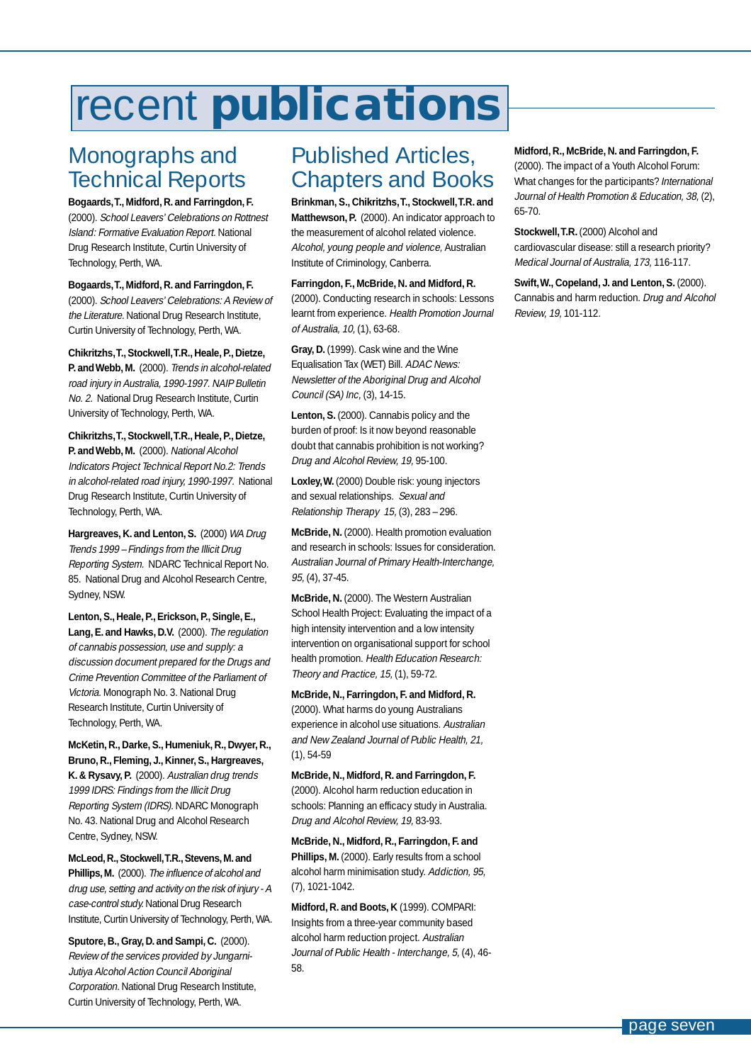# <span id="page-6-0"></span>recent **publications**

## Monographs and Technical Reports

**Bogaards,T., Midford, R. and Farringdon, F.**

(2000). School Leavers' Celebrations on Rottnest Island: Formative Evaluation Report. National Drug Research Institute, Curtin University of Technology, Perth, WA.

**Bogaards,T., Midford, R. and Farringdon, F.** (2000). School Leavers' Celebrations: A Review of the Literature. National Drug Research Institute, Curtin University of Technology, Perth, WA.

**Chikritzhs,T., Stockwell,T.R., Heale, P., Dietze,** P. and Webb, M. (2000). Trends in alcohol-related road injury in Australia, 1990-1997. NAIP Bulletin No. 2. National Drug Research Institute, Curtin University of Technology, Perth, WA.

**Chikritzhs,T., Stockwell,T.R., Heale, P., Dietze, P. and Webb, M.** (2000). National Alcohol Indicators Project Technical Report No.2: Trends in alcohol-related road injury, 1990-1997. National Drug Research Institute, Curtin University of Technology, Perth, WA.

**Hargreaves, K. and Lenton, S.** (2000) WA Drug Trends 1999 – Findings from the Illicit Drug Reporting System. NDARC Technical Report No. 85. National Drug and Alcohol Research Centre, Sydney, NSW.

**Lenton, S., Heale, P., Erickson, P., Single, E., Lang, E. and Hawks, D.V.** (2000). The regulation of cannabis possession, use and supply: a discussion document prepared for the Drugs and Crime Prevention Committee of the Parliament of Victoria. Monograph No. 3. National Drug Research Institute, Curtin University of Technology, Perth, WA.

#### **McKetin, R., Darke, S., Humeniuk, R., Dwyer, R., Bruno, R., Fleming, J., Kinner, S., Hargreaves,**

K. & Rysavy, P. (2000). Australian drug trends 1999 IDRS: Findings from the Illicit Drug Reporting System (IDRS). NDARC Monograph No. 43. National Drug and Alcohol Research Centre, Sydney, NSW.

**McLeod, R., Stockwell,T.R., Stevens, M. and Phillips, M.** (2000). The influence of alcohol and drug use, setting and activity on the risk of injury - A case-control study. National Drug Research Institute, Curtin University of Technology, Perth, WA.

**Sputore, B., Gray, D. and Sampi, C.** (2000). Review of the services provided by Jungarni-Jutiya Alcohol Action Council Aboriginal Corporation. National Drug Research Institute, Curtin University of Technology, Perth, WA.

## Published Articles, Chapters and Books

**Brinkman, S., Chikritzhs,T., Stockwell,T.R. and Matthewson, P.** (2000). An indicator approach to the measurement of alcohol related violence. Alcohol, young people and violence, Australian Institute of Criminology, Canberra.

**Farringdon, F., McBride, N. and Midford, R.** (2000). Conducting research in schools: Lessons learnt from experience. Health Promotion Journal of Australia, 10, (1), 63-68.

**Gray, D.** (1999). Cask wine and the Wine Equalisation Tax (WET) Bill. ADAC News: Newsletter of the Aboriginal Drug and Alcohol Council (SA) Inc, (3), 14-15.

**Lenton, S.** (2000). Cannabis policy and the burden of proof: Is it now beyond reasonable doubt that cannabis prohibition is not working? Drug and Alcohol Review, 19, 95-100.

**Loxley,W.** (2000) Double risk: young injectors and sexual relationships. Sexual and Relationship Therapy 15, (3), 283 – 296.

**McBride, N.** (2000). Health promotion evaluation and research in schools: Issues for consideration. Australian Journal of Primary Health-Interchange, 95, (4), 37-45.

**McBride, N.** (2000). The Western Australian School Health Project: Evaluating the impact of a high intensity intervention and a low intensity intervention on organisational support for school health promotion. Health Education Research: Theory and Practice, 15, (1), 59-72.

**McBride, N., Farringdon, F. and Midford, R.** (2000). What harms do young Australians experience in alcohol use situations. Australian and New Zealand Journal of Public Health, 21, (1), 54-59

**McBride, N., Midford, R. and Farringdon, F.** (2000). Alcohol harm reduction education in schools: Planning an efficacy study in Australia. Drug and Alcohol Review, 19, 83-93.

**McBride, N., Midford, R., Farringdon, F. and** Phillips, M. (2000). Early results from a school alcohol harm minimisation study. Addiction, 95, (7), 1021-1042.

**Midford, R. and Boots, K** (1999). COMPARI: Insights from a three-year community based alcohol harm reduction project. Australian Journal of Public Health - Interchange, 5, (4), 46- 58.

#### **Midford, R., McBride, N. and Farringdon, F.**

(2000). The impact of a Youth Alcohol Forum: What changes for the participants? International Journal of Health Promotion & Education, 38, (2), 65-70.

**Stockwell,T.R.** (2000) Alcohol and cardiovascular disease: still a research priority? Medical Journal of Australia, 173, 116-117.

**Swift,W., Copeland, J. and Lenton, S.** (2000). Cannabis and harm reduction. Drug and Alcohol Review, 19, 101-112.